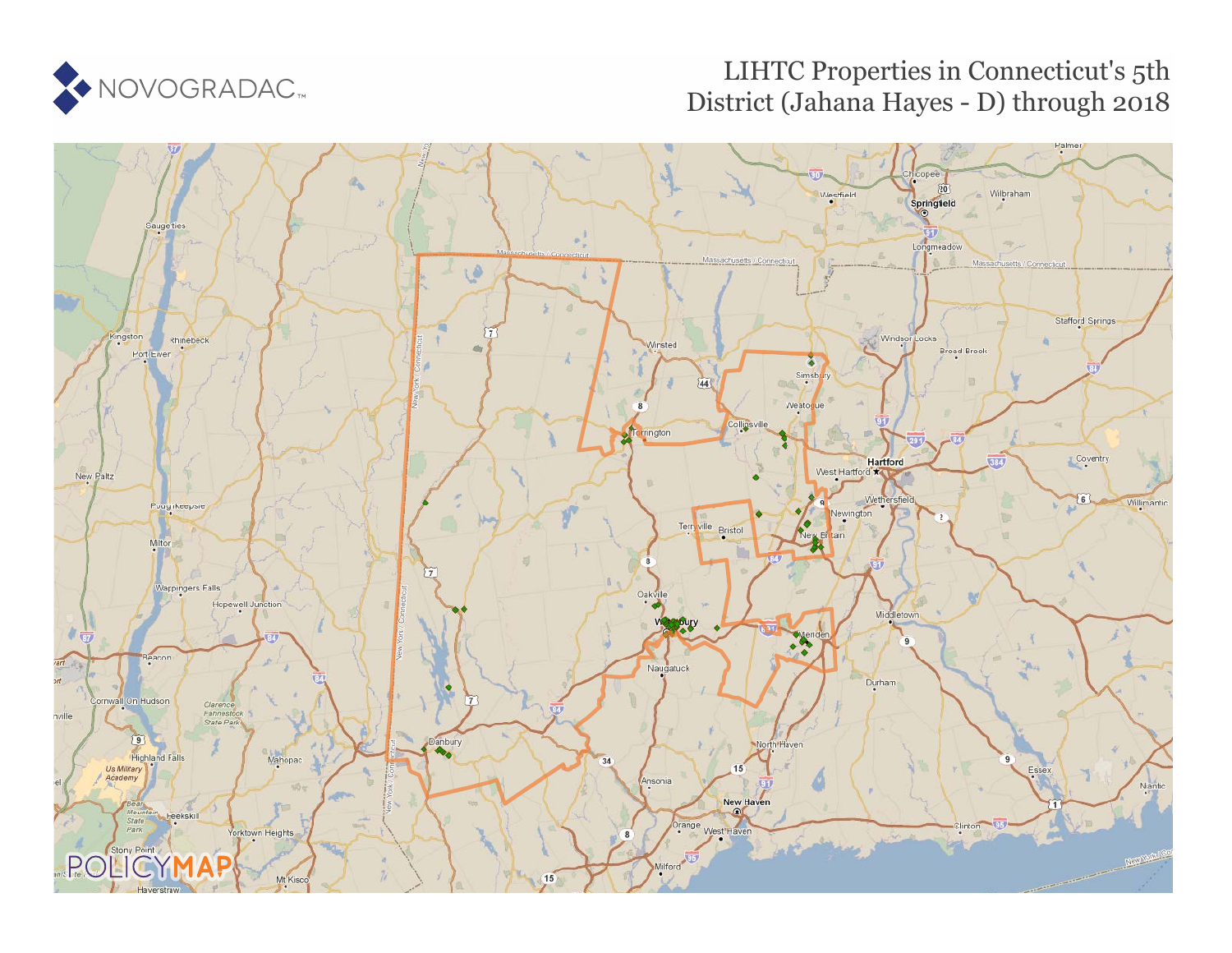

# LIHTC Properties in Connecticut's 5th District (Jahana Hayes - D) through 2018

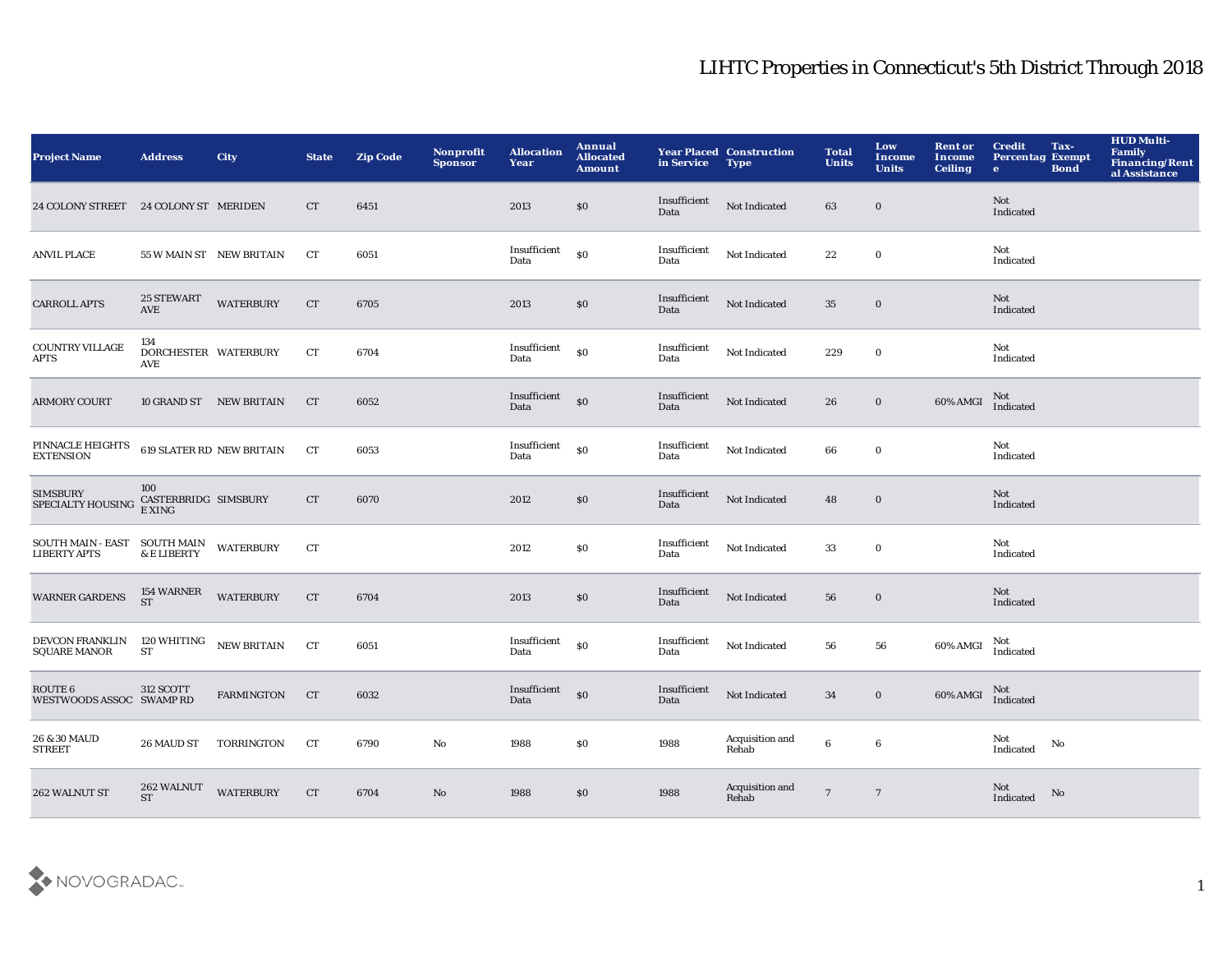| <b>Project Name</b>                                                            | <b>Address</b>                        | <b>City</b>             | <b>State</b> | <b>Zip Code</b> | Nonprofit<br><b>Sponsor</b> | <b>Allocation</b><br>Year          | <b>Annual</b><br><b>Allocated</b><br><b>Amount</b> | in Service           | <b>Year Placed Construction</b><br><b>Type</b> | <b>Total</b><br><b>Units</b> | Low<br>Income<br><b>Units</b> | <b>Rent or</b><br>Income<br><b>Ceiling</b> | <b>Credit</b><br><b>Percentag Exempt</b><br>$\bullet$ | Tax-<br><b>Bond</b> | <b>HUD Multi-</b><br>Family<br>Financing/Rent<br>al Assistance |
|--------------------------------------------------------------------------------|---------------------------------------|-------------------------|--------------|-----------------|-----------------------------|------------------------------------|----------------------------------------------------|----------------------|------------------------------------------------|------------------------------|-------------------------------|--------------------------------------------|-------------------------------------------------------|---------------------|----------------------------------------------------------------|
| 24 COLONY STREET 24 COLONY ST MERIDEN                                          |                                       |                         | CT           | 6451            |                             | 2013                               | \$0\$                                              | Insufficient<br>Data | Not Indicated                                  | 63                           | $\bf{0}$                      |                                            | <b>Not</b><br>Indicated                               |                     |                                                                |
| <b>ANVIL PLACE</b>                                                             | 55 W MAIN ST NEW BRITAIN              |                         | CT           | 6051            |                             | Insufficient<br>Data               | \$0                                                | Insufficient<br>Data | Not Indicated                                  | 22                           | $\bf{0}$                      |                                            | Not<br>Indicated                                      |                     |                                                                |
| <b>CARROLL APTS</b>                                                            | 25 STEWART<br>AVE                     | <b>WATERBURY</b>        | CT           | 6705            |                             | 2013                               | $\$0$                                              | Insufficient<br>Data | Not Indicated                                  | 35                           | $\bf{0}$                      |                                            | Not<br>Indicated                                      |                     |                                                                |
| COUNTRY VILLAGE<br><b>APTS</b>                                                 | 134<br>DORCHESTER WATERBURY<br>AVE    |                         | CT           | 6704            |                             | Insufficient<br>Data               | $\boldsymbol{\mathsf{S}}\boldsymbol{\mathsf{O}}$   | Insufficient<br>Data | Not Indicated                                  | 229                          | $\bf{0}$                      |                                            | Not<br>Indicated                                      |                     |                                                                |
| <b>ARMORY COURT</b>                                                            |                                       | 10 GRAND ST NEW BRITAIN | <b>CT</b>    | 6052            |                             | Insufficient <sub>80</sub><br>Data |                                                    | Insufficient<br>Data | Not Indicated                                  | 26                           | $\bf{0}$                      | 60% AMGI                                   | Not<br>Indicated                                      |                     |                                                                |
| PINNACLE HEIGHTS<br><b>EXTENSION</b>                                           | <b>619 SLATER RD NEW BRITAIN</b>      |                         | <b>CT</b>    | 6053            |                             | Insufficient<br>Data               | $\boldsymbol{\mathsf{S}}\boldsymbol{\mathsf{O}}$   | Insufficient<br>Data | Not Indicated                                  | 66                           | $\boldsymbol{0}$              |                                            | Not<br>Indicated                                      |                     |                                                                |
| <b>SIMSBURY</b><br>SPECIALTY HOUSING                                           | 100<br>CASTERBRIDG SIMSBURY<br>E XING |                         | CT           | 6070            |                             | 2012                               | $\$0$                                              | Insufficient<br>Data | Not Indicated                                  | 48                           | $\bf{0}$                      |                                            | <b>Not</b><br>Indicated                               |                     |                                                                |
| $\rm{SOUTH}\; MAIN\text{- }EAST\quad \rm{SOUTH}\; MAIN$<br><b>LIBERTY APTS</b> | & E LIBERTY                           | <b>WATERBURY</b>        | <b>CT</b>    |                 |                             | 2012                               | <b>SO</b>                                          | Insufficient<br>Data | Not Indicated                                  | 33                           | $\bf{0}$                      |                                            | Not<br>Indicated                                      |                     |                                                                |
| <b>WARNER GARDENS</b>                                                          | 154 WARNER<br><b>ST</b>               | <b>WATERBURY</b>        | CT           | 6704            |                             | 2013                               | \$0\$                                              | Insufficient<br>Data | Not Indicated                                  | 56                           | $\bf{0}$                      |                                            | Not<br>Indicated                                      |                     |                                                                |
| DEVCON FRANKLIN<br><b>SQUARE MANOR</b>                                         | 120 WHITING<br>ST                     | NEW BRITAIN             | CT           | 6051            |                             | Insufficient<br>Data               | \$0                                                | Insufficient<br>Data | Not Indicated                                  | 56                           | 56                            | 60% AMGI                                   | Not<br>Indicated                                      |                     |                                                                |
| ROUTE <sub>6</sub><br>WESTWOODS ASSOC SWAMP RD                                 | 312 SCOTT                             | <b>FARMINGTON</b>       | CT           | 6032            |                             | Insufficient <sub>SO</sub><br>Data |                                                    | Insufficient<br>Data | Not Indicated                                  | 34                           | $\mathbf 0$                   | 60% AMGI                                   | $\rm Not$ Indicated                                   |                     |                                                                |
| 26 & 30 MAUD<br><b>STREET</b>                                                  | 26 MAUD ST                            | TORRINGTON              | CT           | 6790            | No                          | 1988                               | \$0                                                | 1988                 | Acquisition and<br>Rehab                       | 6                            | $\bf 6$                       |                                            | Not<br>Indicated                                      | No                  |                                                                |
| 262 WALNUT ST                                                                  | 262 WALNUT<br><b>ST</b>               | <b>WATERBURY</b>        | CT           | 6704            | No                          | 1988                               | \$0                                                | 1988                 | Acquisition and<br>Rehab                       | $\overline{7}$               | $\overline{7}$                |                                            | Not<br>Indicated                                      | No                  |                                                                |

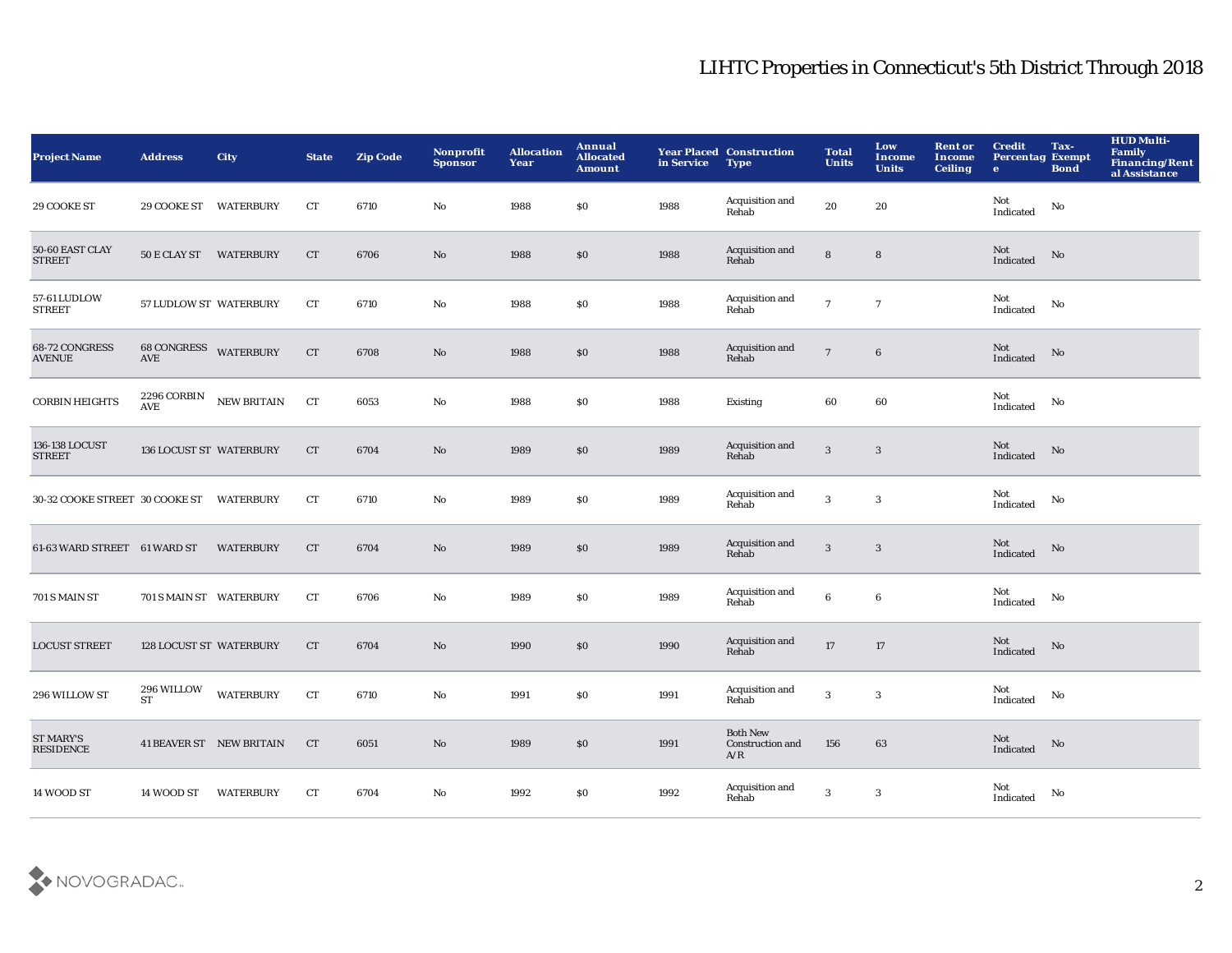| <b>Project Name</b>                  | <b>Address</b>                      | <b>City</b>              | <b>State</b> | <b>Zip Code</b> | Nonprofit<br><b>Sponsor</b> | <b>Allocation</b><br>Year | Annual<br><b>Allocated</b><br><b>Amount</b> | in Service | <b>Year Placed Construction</b><br><b>Type</b> | <b>Total</b><br><b>Units</b> | Low<br><b>Income</b><br><b>Units</b> | <b>Rent or</b><br>Income<br><b>Ceiling</b> | <b>Credit</b><br><b>Percentag Exempt</b><br>$\mathbf{e}$ | Tax-<br><b>Bond</b>    | <b>HUD Multi-</b><br>Family<br>Financing/Rent<br>al Assistance |
|--------------------------------------|-------------------------------------|--------------------------|--------------|-----------------|-----------------------------|---------------------------|---------------------------------------------|------------|------------------------------------------------|------------------------------|--------------------------------------|--------------------------------------------|----------------------------------------------------------|------------------------|----------------------------------------------------------------|
| 29 COOKE ST                          | 29 COOKE ST WATERBURY               |                          | ${\rm CT}$   | 6710            | No                          | 1988                      | \$0                                         | 1988       | Acquisition and<br>Rehab                       | 20                           | ${\bf 20}$                           |                                            | Not<br>Indicated                                         | No                     |                                                                |
| 50-60 EAST CLAY<br><b>STREET</b>     | 50 E CLAY ST WATERBURY              |                          | <b>CT</b>    | 6706            | No                          | 1988                      | \$0                                         | 1988       | Acquisition and<br>Rehab                       | ${\bf 8}$                    | ${\bf 8}$                            |                                            | Not<br>Indicated                                         | No                     |                                                                |
| 57-61 LUDLOW<br><b>STREET</b>        | 57 LUDLOW ST WATERBURY              |                          | CT           | 6710            | No                          | 1988                      | \$0                                         | 1988       | Acquisition and<br>Rehab                       | $\overline{7}$               | $\overline{7}$                       |                                            | Not<br>Indicated                                         | No                     |                                                                |
| 68-72 CONGRESS<br><b>AVENUE</b>      | <b>68 CONGRESS WATERBURY</b><br>AVE |                          | <b>CT</b>    | 6708            | No                          | 1988                      | $\$0$                                       | 1988       | Acquisition and<br>Rehab                       | $\overline{7}$               | $6\phantom{.}6$                      |                                            | Not<br>Indicated                                         | No                     |                                                                |
| <b>CORBIN HEIGHTS</b>                | 2296 CORBIN<br>AVE                  | NEW BRITAIN              | CT           | 6053            | No                          | 1988                      | \$0                                         | 1988       | Existing                                       | 60                           | 60                                   |                                            | Not<br>Indicated                                         | No                     |                                                                |
| 136-138 LOCUST<br><b>STREET</b>      | 136 LOCUST ST WATERBURY             |                          | CT           | 6704            | No                          | 1989                      | $\$0$                                       | 1989       | Acquisition and<br>Rehab                       | $\sqrt{3}$                   | 3                                    |                                            | Not<br>Indicated                                         | $\mathbf{N}\mathbf{o}$ |                                                                |
| 30-32 COOKE STREET 30 COOKE ST       |                                     | <b>WATERBURY</b>         | <b>CT</b>    | 6710            | No                          | 1989                      | \$0                                         | 1989       | Acquisition and<br>Rehab                       | $\mathbf{3}$                 | $\sqrt{3}$                           |                                            | Not<br>Indicated                                         | No                     |                                                                |
| 61-63 WARD STREET 61 WARD ST         |                                     | <b>WATERBURY</b>         | <b>CT</b>    | 6704            | No                          | 1989                      | \$0                                         | 1989       | Acquisition and<br>Rehab                       | 3                            | 3                                    |                                            | Not<br>Indicated                                         | No                     |                                                                |
| 701 S MAIN ST                        | 701 S MAIN ST WATERBURY             |                          | CT           | 6706            | No                          | 1989                      | \$0                                         | 1989       | Acquisition and<br>Rehab                       | 6                            | 6                                    |                                            | Not<br>Indicated                                         | No                     |                                                                |
| <b>LOCUST STREET</b>                 | 128 LOCUST ST WATERBURY             |                          | <b>CT</b>    | 6704            | No                          | 1990                      | \$0                                         | 1990       | Acquisition and<br>Rehab                       | $17\,$                       | 17                                   |                                            | Not<br>Indicated                                         | No                     |                                                                |
| 296 WILLOW ST                        | 296 WILLOW<br>ST                    | <b>WATERBURY</b>         | ${\rm CT}$   | 6710            | No                          | 1991                      | \$0                                         | 1991       | Acquisition and<br>Rehab                       | $\bf 3$                      | 3                                    |                                            | Not<br>Indicated                                         | No                     |                                                                |
| <b>ST MARY'S</b><br><b>RESIDENCE</b> |                                     | 41 BEAVER ST NEW BRITAIN | CT           | 6051            | No                          | 1989                      | \$0                                         | 1991       | <b>Both New</b><br>Construction and<br>A/R     | 156                          | 63                                   |                                            | Not<br>Indicated                                         | No                     |                                                                |
| 14 WOOD ST                           | 14 WOOD ST                          | <b>WATERBURY</b>         | <b>CT</b>    | 6704            | No                          | 1992                      | \$0                                         | 1992       | Acquisition and<br>Rehab                       | 3                            | $\mathbf{3}$                         |                                            | Not<br>Indicated                                         | No                     |                                                                |

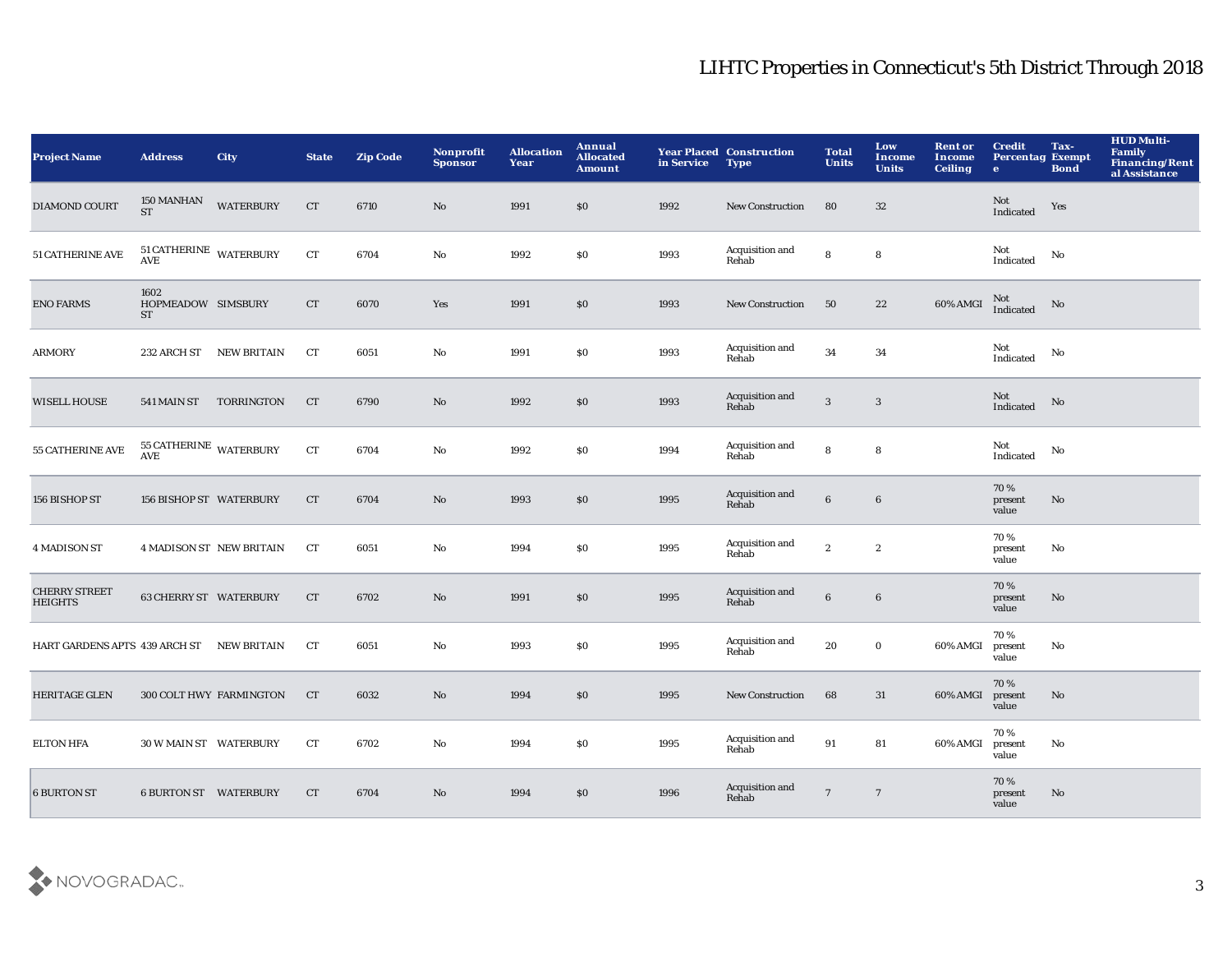| <b>Project Name</b>                       | <b>Address</b>                          | <b>City</b>                     | <b>State</b> | <b>Zip Code</b> | Nonprofit<br><b>Sponsor</b> | <b>Allocation</b><br>Year | Annual<br><b>Allocated</b><br><b>Amount</b> | in Service | <b>Year Placed Construction</b><br><b>Type</b> | <b>Total</b><br><b>Units</b> | Low<br><b>Income</b><br><b>Units</b> | <b>Rent or</b><br><b>Income</b><br><b>Ceiling</b> | <b>Credit</b><br><b>Percentag Exempt</b><br>$\bullet$ | Tax-<br><b>Bond</b> | <b>HUD Multi-</b><br><b>Family</b><br>Financing/Rent<br>al Assistance |
|-------------------------------------------|-----------------------------------------|---------------------------------|--------------|-----------------|-----------------------------|---------------------------|---------------------------------------------|------------|------------------------------------------------|------------------------------|--------------------------------------|---------------------------------------------------|-------------------------------------------------------|---------------------|-----------------------------------------------------------------------|
| <b>DIAMOND COURT</b>                      | 150 MANHAN<br><b>ST</b>                 | <b>WATERBURY</b>                | CT           | 6710            | No                          | 1991                      | \$0                                         | 1992       | <b>New Construction</b>                        | 80                           | 32                                   |                                                   | Not<br>Indicated                                      | Yes                 |                                                                       |
| <b>51 CATHERINE AVE</b>                   | $51$ CATHERINE $\,$ WATERBURY AVE       |                                 | ${\rm CT}$   | 6704            | $\rm No$                    | 1992                      | $\$0$                                       | 1993       | Acquisition and<br>Rehab                       | 8                            | ${\bf 8}$                            |                                                   | Not<br>Indicated                                      | No                  |                                                                       |
| <b>ENO FARMS</b>                          | 1602<br>HOPMEADOW SIMSBURY<br><b>ST</b> |                                 | CT           | 6070            | Yes                         | 1991                      | $\$0$                                       | 1993       | New Construction                               | 50                           | $\bf 22$                             | 60% AMGI                                          | Not<br>Indicated                                      | No                  |                                                                       |
| <b>ARMORY</b>                             | 232 ARCH ST                             | <b>NEW BRITAIN</b>              | CT           | 6051            | No                          | 1991                      | \$0                                         | 1993       | Acquisition and<br>Rehab                       | $\bf{34}$                    | $34\,$                               |                                                   | Not<br>Indicated                                      | No                  |                                                                       |
| <b>WISELL HOUSE</b>                       | 541 MAIN ST                             | TORRINGTON                      | <b>CT</b>    | 6790            | $\mathbf{N}\mathbf{o}$      | 1992                      | $\$0$                                       | 1993       | Acquisition and<br>Rehab                       | $\mathbf{3}$                 | $\boldsymbol{3}$                     |                                                   | Not<br>Indicated                                      | No                  |                                                                       |
| <b>55 CATHERINE AVE</b>                   | $55$ CATHERINE $\,$ WATERBURY AVE       |                                 | CT           | 6704            | No                          | 1992                      | \$0                                         | 1994       | Acquisition and<br>Rehab                       | 8                            | 8                                    |                                                   | Not<br>Indicated                                      | No                  |                                                                       |
| 156 BISHOP ST                             | 156 BISHOP ST WATERBURY                 |                                 | CT           | 6704            | No                          | 1993                      | \$0                                         | 1995       | Acquisition and<br>Rehab                       | $6\phantom{.}6$              | $6\phantom{.}6$                      |                                                   | 70%<br>present<br>value                               | No                  |                                                                       |
| <b>4 MADISON ST</b>                       |                                         | <b>4 MADISON ST NEW BRITAIN</b> | $_{\rm CT}$  | 6051            | No                          | 1994                      | $\$0$                                       | 1995       | Acquisition and<br>Rehab                       | $\mathbf{2}$                 | $\boldsymbol{2}$                     |                                                   | 70%<br>present<br>value                               | No                  |                                                                       |
| <b>CHERRY STREET</b><br><b>HEIGHTS</b>    | 63 CHERRY ST WATERBURY                  |                                 | CT           | 6702            | $\mathbf{N}\mathbf{o}$      | 1991                      | $\$0$                                       | 1995       | Acquisition and<br>Rehab                       | $\bf 6$                      | $\bf 6$                              |                                                   | 70%<br>present<br>value                               | $\mathbf{No}$       |                                                                       |
| HART GARDENS APTS 439 ARCH ST NEW BRITAIN |                                         |                                 | CT           | 6051            | $\rm No$                    | 1993                      | $\$0$                                       | 1995       | Acquisition and<br>Rehab                       | ${\bf 20}$                   | $\mathbf 0$                          | 60% AMGI                                          | 70%<br>present<br>value                               | No                  |                                                                       |
| <b>HERITAGE GLEN</b>                      |                                         | 300 COLT HWY FARMINGTON         | CT           | 6032            | No                          | 1994                      | \$0                                         | 1995       | New Construction                               | 68                           | 31                                   | 60% AMGI                                          | 70%<br>present<br>value                               | No                  |                                                                       |
| <b>ELTON HFA</b>                          | 30 W MAIN ST WATERBURY                  |                                 | CT           | 6702            | $\mathbf {No}$              | 1994                      | \$0                                         | 1995       | Acquisition and<br>Rehab                       | $\bf 91$                     | 81                                   | 60% AMGI                                          | 70%<br>present<br>value                               | No                  |                                                                       |
| <b>6 BURTON ST</b>                        | <b>6 BURTON ST WATERBURY</b>            |                                 | <b>CT</b>    | 6704            | $\mathbf{N}\mathbf{o}$      | 1994                      | \$0                                         | 1996       | Acquisition and<br>Rehab                       | $\overline{7}$               | $\overline{7}$                       |                                                   | 70%<br>present<br>value                               | $\mathbf{No}$       |                                                                       |

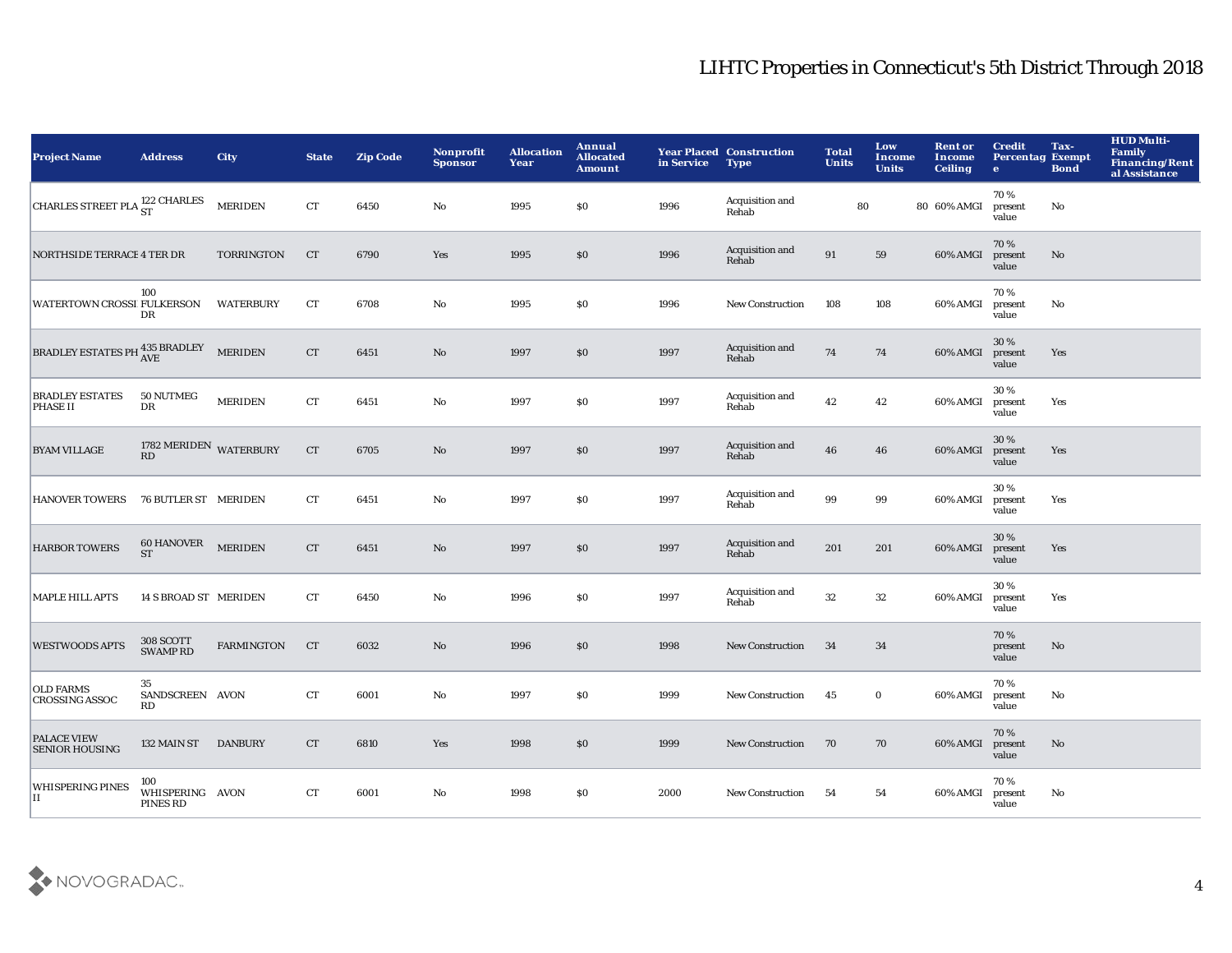| <b>Project Name</b>                         | <b>Address</b>                     | <b>City</b>       | <b>State</b>       | <b>Zip Code</b> | Nonprofit<br><b>Sponsor</b> | <b>Allocation</b><br>Year | Annual<br><b>Allocated</b><br><b>Amount</b> | in Service | <b>Year Placed Construction</b><br><b>Type</b> | <b>Total</b><br><b>Units</b> | Low<br><b>Income</b><br><b>Units</b> | <b>Rent or</b><br>Income<br><b>Ceiling</b> | <b>Credit</b><br><b>Percentag Exempt</b><br>$\mathbf{e}$ | Tax-<br><b>Bond</b>    | <b>HUD Multi-</b><br>Family<br><b>Financing/Rent</b><br>al Assistance |
|---------------------------------------------|------------------------------------|-------------------|--------------------|-----------------|-----------------------------|---------------------------|---------------------------------------------|------------|------------------------------------------------|------------------------------|--------------------------------------|--------------------------------------------|----------------------------------------------------------|------------------------|-----------------------------------------------------------------------|
| CHARLES STREET PLA <sup>122</sup> CHARLES   |                                    | <b>MERIDEN</b>    | CT                 | 6450            | No                          | 1995                      | \$0                                         | 1996       | Acquisition and<br>Rehab                       | 80                           |                                      | 80 60% AMGI                                | 70%<br>present<br>value                                  | No                     |                                                                       |
| <b>NORTHSIDE TERRACE 4 TER DR</b>           |                                    | <b>TORRINGTON</b> | <b>CT</b>          | 6790            | Yes                         | 1995                      | \$0                                         | 1996       | Acquisition and<br>Rehab                       | 91                           | 59                                   | 60% AMGI                                   | 70%<br>present<br>value                                  | $\mathbf{N}\mathbf{o}$ |                                                                       |
| WATERTOWN CROSSI FULKERSON                  | 100<br>DR                          | <b>WATERBURY</b>  | CT                 | 6708            | $\mathbf{No}$               | 1995                      | \$0                                         | 1996       | New Construction                               | 108                          | 108                                  | 60% AMGI                                   | 70%<br>present<br>value                                  | No                     |                                                                       |
| BRADLEY ESTATES PH 435 BRADLEY              |                                    | <b>MERIDEN</b>    | CT                 | 6451            | $\mathbf{N}\mathbf{o}$      | 1997                      | \$0                                         | 1997       | Acquisition and<br>Rehab                       | ${\bf 74}$                   | 74                                   | 60% AMGI                                   | 30 %<br>present<br>value                                 | Yes                    |                                                                       |
| <b>BRADLEY ESTATES</b><br><b>PHASE II</b>   | 50 NUTMEG<br>$_{\rm DR}$           | <b>MERIDEN</b>    | CT                 | 6451            | $\mathbf{No}$               | 1997                      | \$0                                         | 1997       | Acquisition and<br>Rehab                       | 42                           | 42                                   | 60% AMGI                                   | 30%<br>present<br>value                                  | Yes                    |                                                                       |
| <b>BYAM VILLAGE</b>                         | 1782 MERIDEN WATERBURY RD          |                   | CT                 | 6705            | No                          | 1997                      | \$0                                         | 1997       | Acquisition and<br>Rehab                       | 46                           | 46                                   | 60% AMGI                                   | 30%<br>present<br>value                                  | Yes                    |                                                                       |
| <b>HANOVER TOWERS</b>                       | 76 BUTLER ST MERIDEN               |                   | CT                 | 6451            | No                          | 1997                      | \$0                                         | 1997       | Acquisition and<br>Rehab                       | 99                           | 99                                   | 60% AMGI                                   | 30%<br>present<br>value                                  | Yes                    |                                                                       |
| <b>HARBOR TOWERS</b>                        | $60$ HANOVER $$\tt MERIDEN$$       |                   | ${\cal C}{\cal T}$ | 6451            | No                          | 1997                      | \$0                                         | 1997       | Acquisition and<br>Rehab                       | 201                          | 201                                  | 60% AMGI                                   | 30%<br>present<br>value                                  | Yes                    |                                                                       |
| <b>MAPLE HILL APTS</b>                      | 14 S BROAD ST MERIDEN              |                   | CT                 | 6450            | $\mathbf {No}$              | 1996                      | \$0                                         | 1997       | Acquisition and<br>Rehab                       | $32\,$                       | $32\,$                               | 60% AMGI                                   | 30%<br>present<br>value                                  | Yes                    |                                                                       |
| <b>WESTWOODS APTS</b>                       | 308 SCOTT<br><b>SWAMPRD</b>        | <b>FARMINGTON</b> | <b>CT</b>          | 6032            | No                          | 1996                      | \$0                                         | 1998       | New Construction                               | 34                           | 34                                   |                                            | 70%<br>present<br>value                                  | $\mathbf{N}\mathbf{o}$ |                                                                       |
| <b>OLD FARMS</b><br><b>CROSSING ASSOC</b>   | 35<br>SANDSCREEN AVON<br>RD        |                   | ${\cal C}{\cal T}$ | 6001            | $\mathbf{No}$               | 1997                      | \$0                                         | 1999       | New Construction                               | 45                           | $\bf{0}$                             | 60% AMGI                                   | 70%<br>present<br>value                                  | No                     |                                                                       |
| <b>PALACE VIEW</b><br><b>SENIOR HOUSING</b> | 132 MAIN ST DANBURY                |                   | CT                 | 6810            | Yes                         | 1998                      | \$0                                         | 1999       | <b>New Construction</b>                        | 70                           | 70                                   | 60% AMGI                                   | 70%<br>present<br>value                                  | $\mathbf{N}\mathbf{o}$ |                                                                       |
| <b>WHISPERING PINES</b><br>п                | 100<br>WHISPERING AVON<br>PINES RD |                   | CT                 | 6001            | No                          | 1998                      | <b>SO</b>                                   | 2000       | <b>New Construction</b>                        | 54                           | 54                                   | 60% AMGI                                   | 70%<br>present<br>value                                  | No                     |                                                                       |

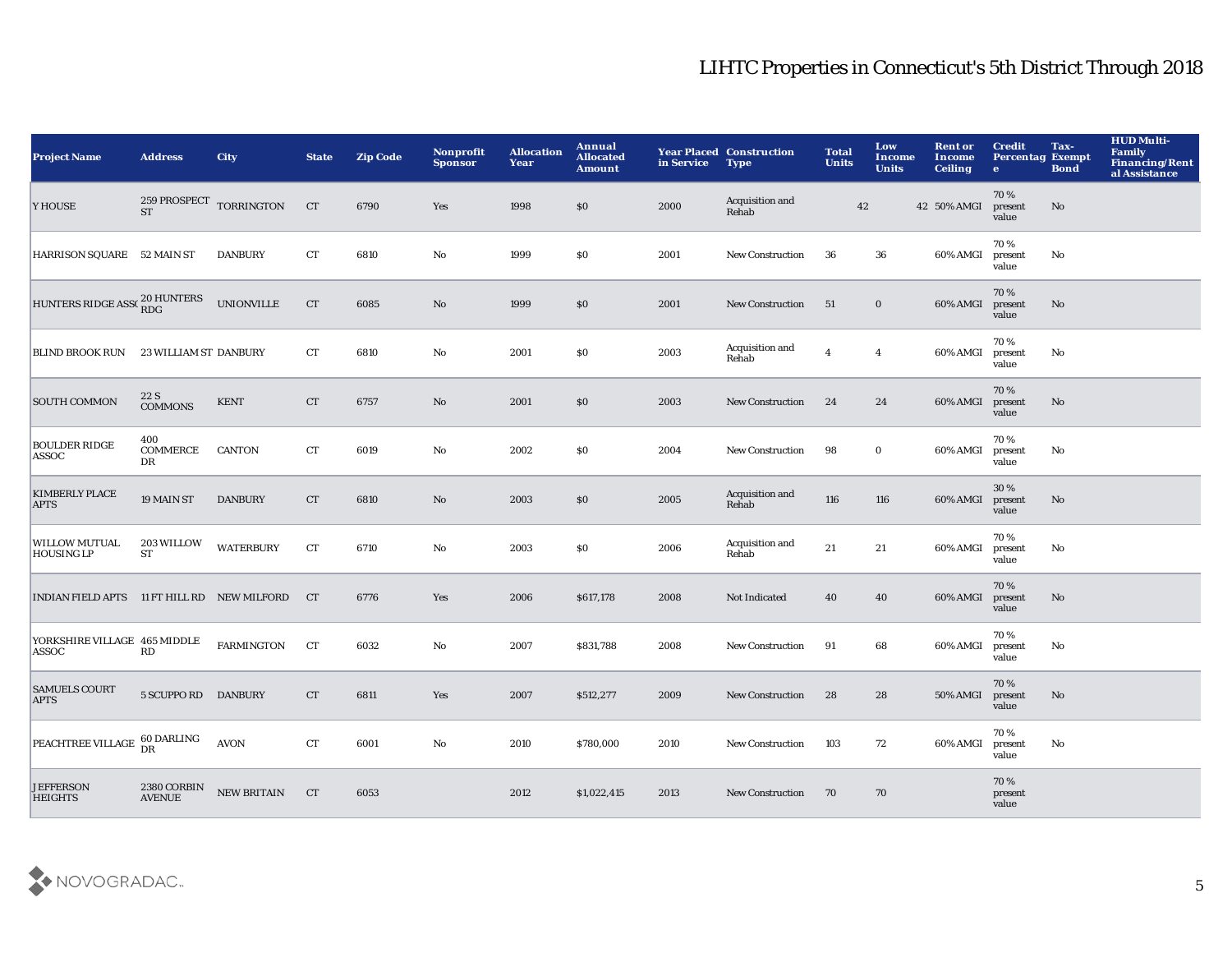| <b>Project Name</b>                         | <b>Address</b>               | City                              | <b>State</b>       | <b>Zip Code</b> | Nonprofit<br><b>Sponsor</b> | <b>Allocation</b><br>Year | <b>Annual</b><br><b>Allocated</b><br><b>Amount</b> | in Service | <b>Year Placed Construction</b><br><b>Type</b> | <b>Total</b><br><b>Units</b> | Low<br><b>Income</b><br><b>Units</b> | <b>Rent or</b><br>Income<br><b>Ceiling</b> | <b>Credit</b><br><b>Percentag Exempt</b><br>$\bullet$ | Tax-<br><b>Bond</b> | <b>HUD Multi-</b><br>Family<br>Financing/Rent<br>al Assistance |
|---------------------------------------------|------------------------------|-----------------------------------|--------------------|-----------------|-----------------------------|---------------------------|----------------------------------------------------|------------|------------------------------------------------|------------------------------|--------------------------------------|--------------------------------------------|-------------------------------------------------------|---------------------|----------------------------------------------------------------|
| Y HOUSE                                     | <b>ST</b>                    | 259 PROSPECT $\,$ TORRINGTON $\,$ | CT                 | 6790            | Yes                         | 1998                      | \$0                                                | 2000       | Acquisition and<br>Rehab                       | 42                           |                                      | 42 50% AMGI                                | 70%<br>present<br>value                               | No                  |                                                                |
| HARRISON SQUARE 52 MAIN ST                  |                              | <b>DANBURY</b>                    | ${\cal C}{\cal T}$ | 6810            | $\mathbf{N}\mathbf{o}$      | 1999                      | \$0                                                | 2001       | <b>New Construction</b>                        | 36                           | 36                                   | 60% AMGI                                   | 70%<br>present<br>value                               | $\mathbf {No}$      |                                                                |
| HUNTERS RIDGE ASS(20 HUNTERS                |                              | <b>UNIONVILLE</b>                 | CT                 | 6085            | $\mathbf{No}$               | 1999                      | \$0\$                                              | 2001       | New Construction                               | 51                           | $\bf{0}$                             | 60% AMGI                                   | 70%<br>present<br>value                               | No                  |                                                                |
| <b>BLIND BROOK RUN</b>                      | <b>23 WILLIAM ST DANBURY</b> |                                   | ${\rm CT}$         | 6810            | No                          | 2001                      | \$0                                                | 2003       | Acquisition and<br>Rehab                       | $\overline{4}$               | $\boldsymbol{4}$                     | 60% AMGI                                   | 70%<br>present<br>value                               | No                  |                                                                |
| <b>SOUTH COMMON</b>                         | 22 S<br><b>COMMONS</b>       | <b>KENT</b>                       | CT                 | 6757            | $\mathbf{N}\mathbf{o}$      | 2001                      | \$0                                                | 2003       | New Construction                               | 24                           | 24                                   | 60% AMGI                                   | 70%<br>present<br>value                               | $\mathbf{No}$       |                                                                |
| <b>BOULDER RIDGE</b><br>ASSOC               | 400<br><b>COMMERCE</b><br>DR | <b>CANTON</b>                     | CT                 | 6019            | No                          | 2002                      | \$0                                                | 2004       | <b>New Construction</b>                        | 98                           | $\bf{0}$                             | 60% AMGI                                   | 70%<br>present<br>value                               | No                  |                                                                |
| <b>KIMBERLY PLACE</b><br><b>APTS</b>        | 19 MAIN ST                   | <b>DANBURY</b>                    | CT                 | 6810            | No                          | 2003                      | \$0                                                | 2005       | Acquisition and<br>Rehab                       | 116                          | 116                                  | 60% AMGI                                   | 30 %<br>present<br>value                              | No                  |                                                                |
| <b>WILLOW MUTUAL</b><br><b>HOUSING LP</b>   | 203 WILLOW<br>ST             | <b>WATERBURY</b>                  | ${\rm CT}$         | 6710            | No                          | 2003                      | <b>SO</b>                                          | 2006       | Acquisition and<br>Rehab                       | 21                           | 21                                   | 60% AMGI                                   | 70%<br>present<br>value                               | No                  |                                                                |
| INDIAN FIELD APTS 11 FT HILL RD NEW MILFORD |                              |                                   | <b>CT</b>          | 6776            | Yes                         | 2006                      | \$617,178                                          | 2008       | Not Indicated                                  | 40                           | 40                                   | 60% AMGI                                   | 70%<br>present<br>value                               | $\mathbf{No}$       |                                                                |
| YORKSHIRE VILLAGE 465 MIDDLE<br>ASSOC       | RD                           | <b>FARMINGTON</b>                 | CT                 | 6032            | $\mathbf {No}$              | 2007                      | \$831,788                                          | 2008       | New Construction                               | 91                           | 68                                   | 60% AMGI                                   | 70%<br>present<br>value                               | No                  |                                                                |
| <b>SAMUELS COURT</b><br><b>APTS</b>         | 5 SCUPPO RD DANBURY          |                                   | CT                 | 6811            | Yes                         | 2007                      | \$512,277                                          | 2009       | <b>New Construction</b>                        | 28                           | 28                                   | <b>50% AMGI</b>                            | 70%<br>present<br>value                               | $\mathbf{No}$       |                                                                |
| PEACHTREE VILLAGE 60 DARLING                |                              | <b>AVON</b>                       | CT                 | 6001            | No                          | 2010                      | \$780,000                                          | 2010       | New Construction                               | 103                          | 72                                   | 60% AMGI                                   | 70%<br>present<br>value                               | No                  |                                                                |
| <b>JEFFERSON</b><br><b>HEIGHTS</b>          | 2380 CORBIN<br><b>AVENUE</b> | <b>NEW BRITAIN</b>                | <b>CT</b>          | 6053            |                             | 2012                      | \$1,022,415                                        | 2013       | <b>New Construction</b>                        | 70                           | 70                                   |                                            | 70%<br>present<br>value                               |                     |                                                                |